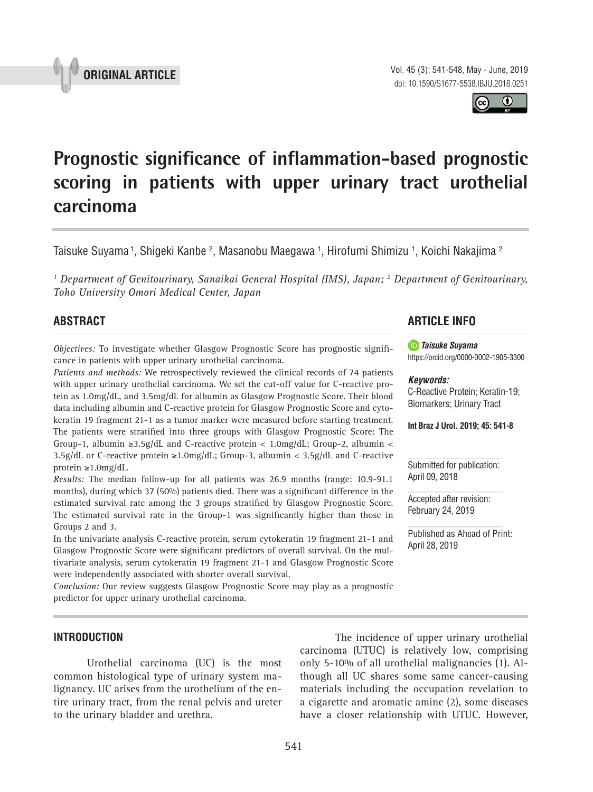Vol. 45 (3): 541-548, May - June, 2019 doi: 10.1590/S1677-5538.IBJU.2018.0251

# **Prognostic significance of inflammation-based prognostic scoring in patients with upper urinary tract urothelial carcinoma \_\_\_\_\_\_\_\_\_\_\_\_\_\_\_\_\_\_\_\_\_\_\_\_\_\_\_\_\_\_\_\_\_\_\_\_\_\_\_\_\_\_\_\_\_\_\_**

Taisuke Suyama <sup>1</sup>, Shigeki Kanbe <sup>2</sup>, Masanobu Maegawa <sup>1</sup>, Hirofumi Shimizu <sup>1</sup>, Koichi Nakajima <sup>2</sup>

<sup>1</sup> Department of Genitourinary, Sanaikai General Hospital (IMS), Japan; <sup>2</sup> Department of Genitourinary, *Toho University Omori Medical Center, Japan*

# **ABSTRACT**

*Objectives:* To investigate whether Glasgow Prognostic Score has prognostic significance in patients with upper urinary urothelial carcinoma.

*Patients and methods:* We retrospectively reviewed the clinical records of 74 patients with upper urinary urothelial carcinoma. We set the cut-off value for C-reactive protein as 1.0mg/dL, and 3.5mg/dL for albumin as Glasgow Prognostic Score. Their blood data including albumin and C-reactive protein for Glasgow Prognostic Score and cytokeratin 19 fragment 21-1 as a tumor marker were measured before starting treatment. The patients were stratified into three groups with Glasgow Prognostic Score: The Group-1, albumin ≥3.5g/dL and C-reactive protein <  $1.0 \text{mg/d}$ L; Group-2, albumin < 3.5g/dL or C-reactive protein ≥1.0mg/dL; Group-3, albumin < 3.5g/dL and C-reactive protein ≥1.0mg/dL.

*Results:* The median follow-up for all patients was 26.9 months (range: 10.9-91.1 months), during which 37 (50%) patients died. There was a significant difference in the estimated survival rate among the 3 groups stratified by Glasgow Prognostic Score. The estimated survival rate in the Group-1 was significantly higher than those in Groups 2 and 3.

In the univariate analysis C-reactive protein, serum cytokeratin 19 fragment 21-1 and Glasgow Prognostic Score were significant predictors of overall survival. On the multivariate analysis, serum cytokeratin 19 fragment 21-1 and Glasgow Prognostic Score were independently associated with shorter overall survival.

*Conclusion:* Our review suggests Glasgow Prognostic Score may play as a prognostic predictor for upper urinary urothelial carcinoma.

# **ARTICLE INFO**

*Taisuke Suyama*  https://orcid.org/0000-0002-1905-3300

#### *Keywords:*

C-Reactive Protein; Keratin-19; Biomarkers; Urinary Tract

**Int Braz J Urol. 2019; 45: 541-8**

Submitted for publication: April 09, 2018

Accepted after revision: February 24, 2019

Published as Ahead of Print: April 28, 2019

**INTRODUCTION**

Urothelial carcinoma (UC) is the most common histological type of urinary system malignancy. UC arises from the urothelium of the entire urinary tract, from the renal pelvis and ureter to the urinary bladder and urethra.

 The incidence of upper urinary urothelial carcinoma (UTUC) is relatively low, comprising only 5-10% of all urothelial malignancies (1). Although all UC shares some same cancer-causing materials including the occupation revelation to a cigarette and aromatic amine (2), some diseases have a closer relationship with UTUC. However,



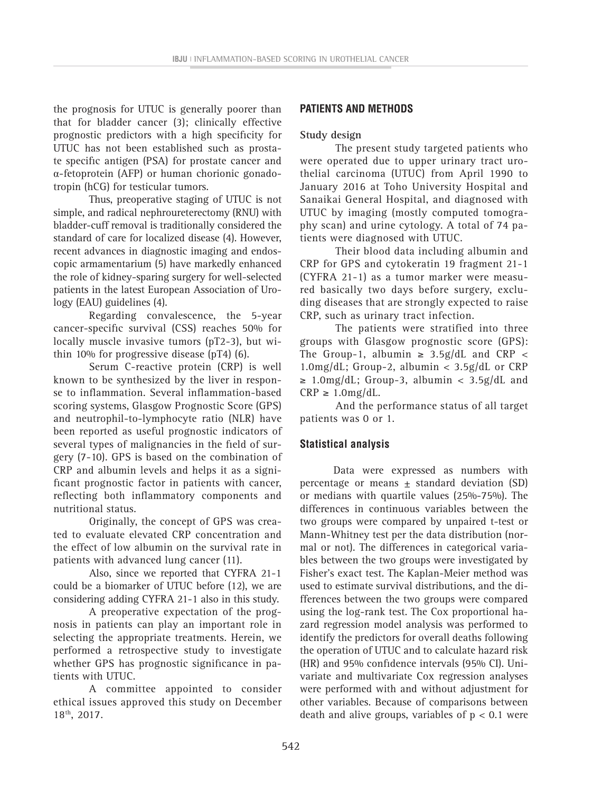the prognosis for UTUC is generally poorer than that for bladder cancer (3); clinically effective prognostic predictors with a high specificity for UTUC has not been established such as prostate specific antigen (PSA) for prostate cancer and α-fetoprotein (AFP) or human chorionic gonadotropin (hCG) for testicular tumors.

Thus, preoperative staging of UTUC is not simple, and radical nephroureterectomy (RNU) with bladder-cuff removal is traditionally considered the standard of care for localized disease (4). However, recent advances in diagnostic imaging and endoscopic armamentarium (5) have markedly enhanced the role of kidney-sparing surgery for well-selected patients in the latest European Association of Urology (EAU) guidelines (4).

Regarding convalescence, the 5-year cancer-specific survival (CSS) reaches 50% for locally muscle invasive tumors (pT2-3), but within 10% for progressive disease (pT4) (6).

Serum C-reactive protein (CRP) is well known to be synthesized by the liver in response to inflammation. Several inflammation-based scoring systems, Glasgow Prognostic Score (GPS) and neutrophil-to-lymphocyte ratio (NLR) have been reported as useful prognostic indicators of several types of malignancies in the field of surgery (7-10). GPS is based on the combination of CRP and albumin levels and helps it as a significant prognostic factor in patients with cancer, reflecting both inflammatory components and nutritional status.

Originally, the concept of GPS was created to evaluate elevated CRP concentration and the effect of low albumin on the survival rate in patients with advanced lung cancer (11).

Also, since we reported that CYFRA 21-1 could be a biomarker of UTUC before (12), we are considering adding CYFRA 21-1 also in this study.

A preoperative expectation of the prognosis in patients can play an important role in selecting the appropriate treatments. Herein, we performed a retrospective study to investigate whether GPS has prognostic significance in patients with UTUC.

A committee appointed to consider ethical issues approved this study on December 18th, 2017.

# **PATIENTS AND METHODS**

#### **Study design**

The present study targeted patients who were operated due to upper urinary tract urothelial carcinoma (UTUC) from April 1990 to January 2016 at Toho University Hospital and Sanaikai General Hospital, and diagnosed with UTUC by imaging (mostly computed tomography scan) and urine cytology. A total of 74 patients were diagnosed with UTUC.

Their blood data including albumin and CRP for GPS and cytokeratin 19 fragment 21-1 (CYFRA 21-1) as a tumor marker were measured basically two days before surgery, excluding diseases that are strongly expected to raise CRP, such as urinary tract infection.

The patients were stratified into three groups with Glasgow prognostic score (GPS): The Group-1, albumin  $\geq$  3.5g/dL and CRP < 1.0mg/dL; Group-2, albumin < 3.5g/dL or CRP  $\geq$  1.0mg/dL; Group-3, albumin < 3.5g/dL and  $CRP \geq 1.0 \text{mg/dL}.$ 

And the performance status of all target patients was 0 or 1.

## **Statistical analysis**

Data were expressed as numbers with percentage or means  $\pm$  standard deviation (SD) or medians with quartile values (25%-75%). The differences in continuous variables between the two groups were compared by unpaired t-test or Mann-Whitney test per the data distribution (normal or not). The differences in categorical variables between the two groups were investigated by Fisher's exact test. The Kaplan-Meier method was used to estimate survival distributions, and the differences between the two groups were compared using the log-rank test. The Cox proportional hazard regression model analysis was performed to identify the predictors for overall deaths following the operation of UTUC and to calculate hazard risk (HR) and 95% confidence intervals (95% CI). Univariate and multivariate Cox regression analyses were performed with and without adjustment for other variables. Because of comparisons between death and alive groups, variables of  $p < 0.1$  were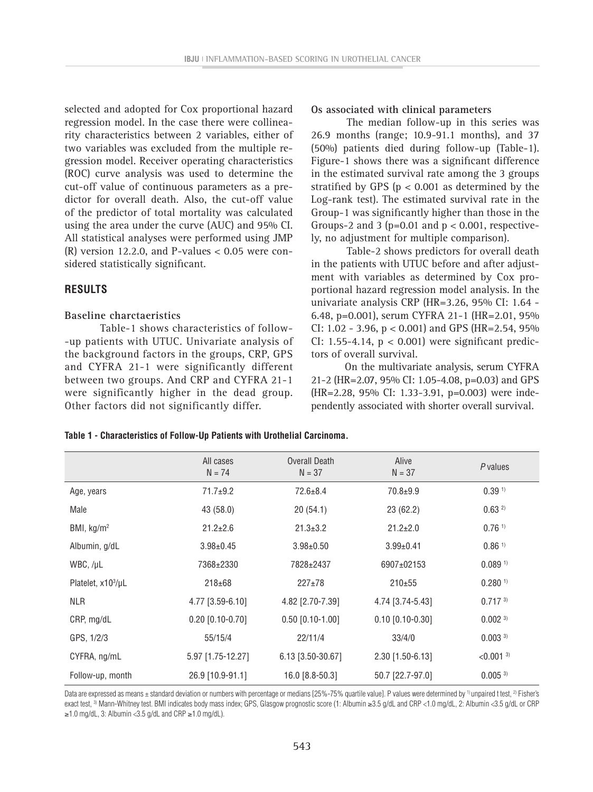selected and adopted for Cox proportional hazard regression model. In the case there were collinearity characteristics between 2 variables, either of two variables was excluded from the multiple regression model. Receiver operating characteristics (ROC) curve analysis was used to determine the cut-off value of continuous parameters as a predictor for overall death. Also, the cut-off value of the predictor of total mortality was calculated using the area under the curve (AUC) and 95% CI. All statistical analyses were performed using JMP  $(R)$  version 12.2.0, and P-values  $< 0.05$  were considered statistically significant.

#### **RESULTS**

#### **Baseline charctaeristics**

Table-1 shows characteristics of follow- -up patients with UTUC. Univariate analysis of the background factors in the groups, CRP, GPS and CYFRA 21-1 were significantly different between two groups. And CRP and CYFRA 21-1 were significantly higher in the dead group. Other factors did not significantly differ.

#### **Os associated with clinical parameters**

The median follow-up in this series was 26.9 months (range; 10.9-91.1 months), and 37 (50%) patients died during follow-up (Table-1). Figure-1 shows there was a significant difference in the estimated survival rate among the 3 groups stratified by GPS ( $p < 0.001$  as determined by the Log-rank test). The estimated survival rate in the Group-1 was significantly higher than those in the Groups-2 and 3 ( $p=0.01$  and  $p < 0.001$ , respectively, no adjustment for multiple comparison).

Table-2 shows predictors for overall death in the patients with UTUC before and after adjustment with variables as determined by Cox proportional hazard regression model analysis. In the univariate analysis CRP (HR=3.26, 95% CI: 1.64 - 6.48, p=0.001), serum CYFRA 21-1 (HR=2.01, 95% CI: 1.02 - 3.96,  $p < 0.001$ ) and GPS (HR=2.54, 95%) CI: 1.55-4.14, p < 0.001) were significant predictors of overall survival.

On the multivariate analysis, serum CYFRA 21-2 (HR=2.07, 95% CI: 1.05-4.08, p=0.03) and GPS (HR=2.28, 95% CI: 1.33-3.91, p=0.003) were independently associated with shorter overall survival.

|  |  | Table 1 - Characteristics of Follow-Up Patients with Urothelial Carcinoma. |  |  |  |  |  |  |
|--|--|----------------------------------------------------------------------------|--|--|--|--|--|--|
|--|--|----------------------------------------------------------------------------|--|--|--|--|--|--|

|                   | All cases<br>$N = 74$ | Overall Death<br>$N = 37$ | Alive<br>$N = 37$  | P values                |
|-------------------|-----------------------|---------------------------|--------------------|-------------------------|
| Age, years        | $71.7+9.2$            | $72.6 \pm 8.4$            | $70.8 + 9.9$       | 0.39 <sup>1</sup>       |
| Male              | 43 (58.0)             | 20(54.1)                  | 23(62.2)           | 0.632                   |
| BMI, $kg/m2$      | $21.2 \pm 2.6$        | $21.3 \pm 3.2$            | $21.2 \pm 2.0$     | $0.76$ <sup>1)</sup>    |
| Albumin, g/dL     | $3.98 \pm 0.45$       | $3.98 \pm 0.50$           | $3.99 \pm 0.41$    | $0.86$ <sup>1)</sup>    |
| WBC, /µL          | 7368±2330             | 7828±2437                 | 6907±02153         | 0.089 <sup>1</sup>      |
| Platelet, x103/µL | $218 + 68$            | $227 \pm 78$              | $210+55$           | $0.280$ <sup>1)</sup>   |
| <b>NLR</b>        | 4.77 [3.59-6.10]      | 4.82 [2.70-7.39]          | 4.74 [3.74-5.43]   | $0.717^{3}$             |
| CRP, mg/dL        | $0.20$ [0.10-0.70]    | $0.50$ [0.10-1.00]        | $0.10$ [0.10-0.30] | $0.002$ <sup>3)</sup>   |
| GPS, 1/2/3        | 55/15/4               | 22/11/4                   | 33/4/0             | 0.003 <sup>3</sup>      |
| CYFRA, ng/mL      | 5.97 [1.75-12.27]     | $6.13$ [3.50-30.67]       | $2.30$ [1.50-6.13] | $< 0.001$ <sup>3)</sup> |
| Follow-up, month  | 26.9 [10.9-91.1]      | 16.0 [8.8-50.3]           | 50.7 [22.7-97.0]   | 0.005 <sup>3</sup>      |

Data are expressed as means  $\pm$  standard deviation or numbers with percentage or medians [25%-75% quartile value]. P values were determined by <sup>1)</sup> unpaired t test, <sup>2)</sup> Fisher's exact test, 3) Mann-Whitney test. BMI indicates body mass index; GPS, Glasgow prognostic score (1: Albumin ≥3.5 g/dL and CRP <1.0 mg/dL, 2: Albumin <3.5 g/dL or CRP ≥1.0 mg/dL, 3: Albumin <3.5 g/dL and CRP ≥1.0 mg/dL).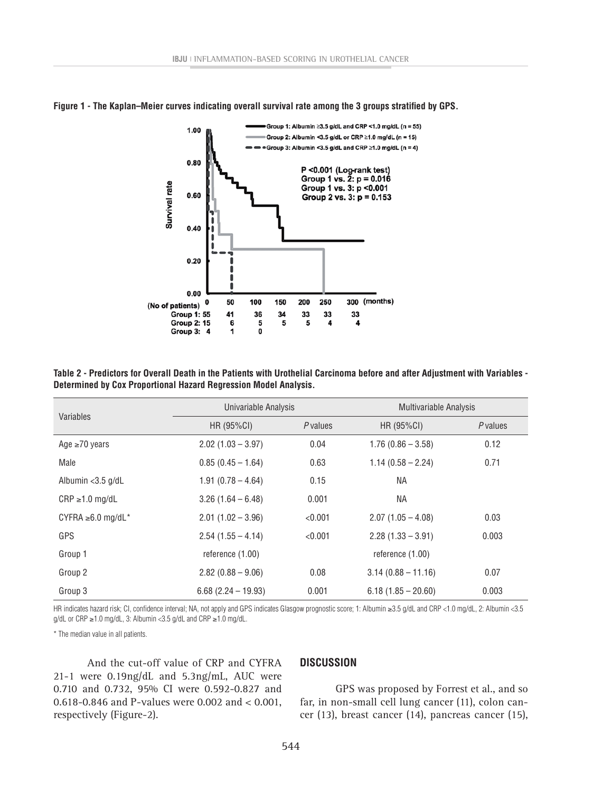

**Figure 1 - The Kaplan–Meier curves indicating overall survival rate among the 3 groups stratified by GPS.**

**Table 2 - Predictors for Overall Death in the Patients with Urothelial Carcinoma before and after Adjustment with Variables - Determined by Cox Proportional Hazard Regression Model Analysis.**

| Variables               | Univariable Analysis  |          | Multivariable Analysis |          |  |
|-------------------------|-----------------------|----------|------------------------|----------|--|
|                         | HR (95%CI)            | P values | HR (95%CI)             | P values |  |
| Age $\geq 70$ years     | $2.02(1.03 - 3.97)$   | 0.04     | $1.76(0.86 - 3.58)$    | 0.12     |  |
| Male                    | $0.85(0.45 - 1.64)$   | 0.63     | $1.14(0.58 - 2.24)$    | 0.71     |  |
| Albumin <3.5 g/dL       | $1.91(0.78 - 4.64)$   | 0.15     | <b>NA</b>              |          |  |
| $CRP \ge 1.0$ mg/dL     | $3.26(1.64 - 6.48)$   | 0.001    | <b>NA</b>              |          |  |
| CYFRA $\geq 6.0$ mg/dL* | $2.01(1.02 - 3.96)$   | < 0.001  | $2.07(1.05 - 4.08)$    | 0.03     |  |
| GPS                     | $2.54(1.55 - 4.14)$   | < 0.001  | $2.28(1.33 - 3.91)$    | 0.003    |  |
| Group 1                 | reference $(1.00)$    |          | reference $(1.00)$     |          |  |
| Group 2                 | $2.82(0.88 - 9.06)$   | 0.08     | $3.14(0.88 - 11.16)$   | 0.07     |  |
| Group 3                 | $6.68$ (2.24 - 19.93) | 0.001    | $6.18(1.85 - 20.60)$   | 0.003    |  |

HR indicates hazard risk; CI, confidence interval; NA, not apply and GPS indicates Glasgow prognostic score; 1: Albumin ≥3.5 g/dL and CRP <1.0 mg/dL, 2: Albumin <3.5 g/dL or CRP ≥1.0 mg/dL, 3: Albumin <3.5 g/dL and CRP ≥1.0 mg/dL.

\* The median value in all patients.

And the cut-off value of CRP and CYFRA 21-1 were 0.19ng/dL and 5.3ng/mL, AUC were 0.710 and 0.732, 95% CI were 0.592-0.827 and 0.618-0.846 and P-values were 0.002 and < 0.001, respectively (Figure-2).

#### **DISCUSSION**

GPS was proposed by Forrest et al., and so far, in non-small cell lung cancer (11), colon cancer (13), breast cancer (14), pancreas cancer (15),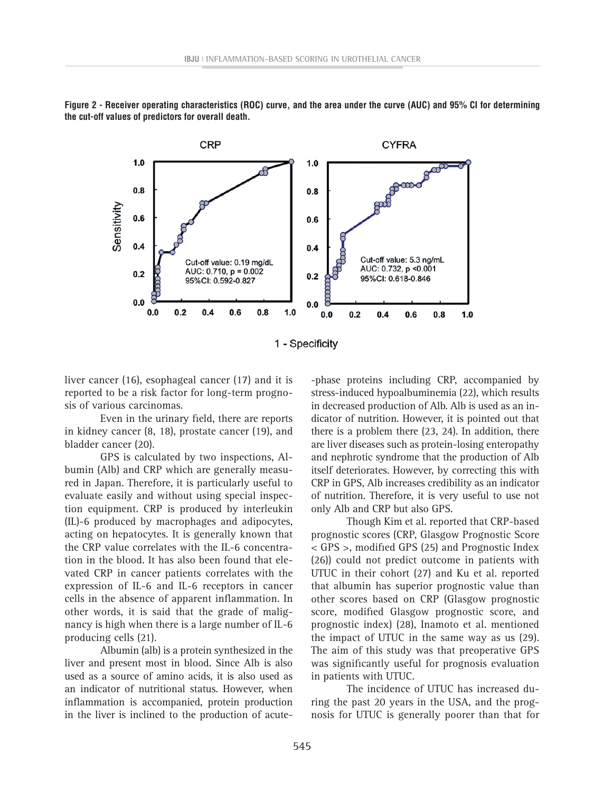

**Figure 2 - Receiver operating characteristics (ROC) curve, and the area under the curve (AUC) and 95% CI for determining the cut-off values of predictors for overall death.**



liver cancer (16), esophageal cancer (17) and it is reported to be a risk factor for long-term prognosis of various carcinomas.

Even in the urinary field, there are reports in kidney cancer (8, 18), prostate cancer (19), and bladder cancer (20).

GPS is calculated by two inspections, Albumin (Alb) and CRP which are generally measured in Japan. Therefore, it is particularly useful to evaluate easily and without using special inspection equipment. CRP is produced by interleukin (IL)-6 produced by macrophages and adipocytes, acting on hepatocytes. It is generally known that the CRP value correlates with the IL-6 concentration in the blood. It has also been found that elevated CRP in cancer patients correlates with the expression of IL-6 and IL-6 receptors in cancer cells in the absence of apparent inflammation. In other words, it is said that the grade of malignancy is high when there is a large number of IL-6 producing cells (21).

Albumin (alb) is a protein synthesized in the liver and present most in blood. Since Alb is also used as a source of amino acids, it is also used as an indicator of nutritional status. However, when inflammation is accompanied, protein production in the liver is inclined to the production of acute-phase proteins including CRP, accompanied by stress-induced hypoalbuminemia (22), which results in decreased production of Alb. Alb is used as an indicator of nutrition. However, it is pointed out that there is a problem there (23, 24). In addition, there are liver diseases such as protein-losing enteropathy and nephrotic syndrome that the production of Alb itself deteriorates. However, by correcting this with CRP in GPS, Alb increases credibility as an indicator of nutrition. Therefore, it is very useful to use not only Alb and CRP but also GPS.

Though Kim et al. reported that CRP-based prognostic scores (CRP, Glasgow Prognostic Score < GPS >, modified GPS (25) and Prognostic Index (26)) could not predict outcome in patients with UTUC in their cohort (27) and Ku et al. reported that albumin has superior prognostic value than other scores based on CRP (Glasgow prognostic score, modified Glasgow prognostic score, and prognostic index) (28), Inamoto et al. mentioned the impact of UTUC in the same way as us (29). The aim of this study was that preoperative GPS was significantly useful for prognosis evaluation in patients with UTUC.

The incidence of UTUC has increased during the past 20 years in the USA, and the prognosis for UTUC is generally poorer than that for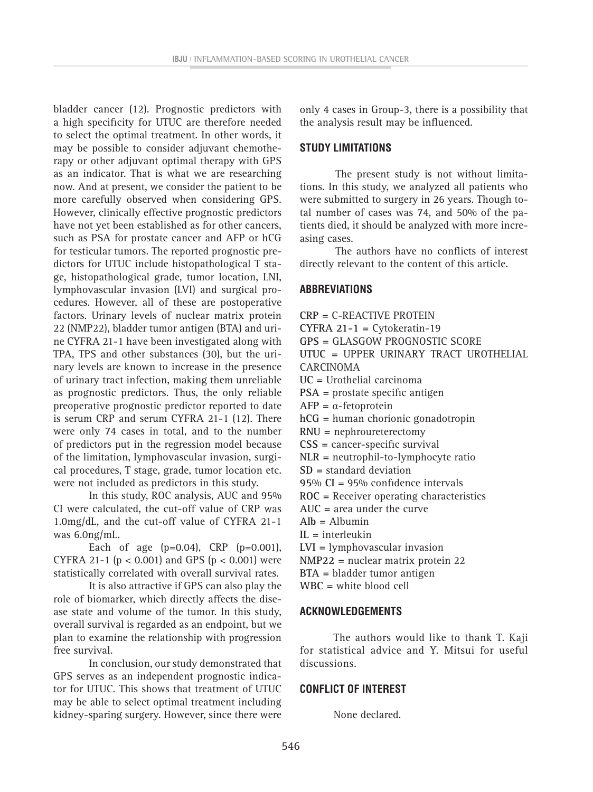bladder cancer (12). Prognostic predictors with a high specificity for UTUC are therefore needed to select the optimal treatment. In other words, it may be possible to consider adjuvant chemotherapy or other adjuvant optimal therapy with GPS as an indicator. That is what we are researching now. And at present, we consider the patient to be more carefully observed when considering GPS. However, clinically effective prognostic predictors have not yet been established as for other cancers, such as PSA for prostate cancer and AFP or hCG for testicular tumors. The reported prognostic predictors for UTUC include histopathological T stage, histopathological grade, tumor location, LNI, lymphovascular invasion (LVI) and surgical procedures. However, all of these are postoperative factors. Urinary levels of nuclear matrix protein 22 (NMP22), bladder tumor antigen (BTA) and urine CYFRA 21-1 have been investigated along with TPA, TPS and other substances (30), but the urinary levels are known to increase in the presence of urinary tract infection, making them unreliable as prognostic predictors. Thus, the only reliable preoperative prognostic predictor reported to date is serum CRP and serum CYFRA 21-1 (12). There were only 74 cases in total, and to the number of predictors put in the regression model because of the limitation, lymphovascular invasion, surgical procedures, T stage, grade, tumor location etc. were not included as predictors in this study.

In this study, ROC analysis, AUC and 95% CI were calculated, the cut-off value of CRP was 1.0mg/dL, and the cut-off value of CYFRA 21-1 was 6.0ng/mL.

Each of age  $(p=0.04)$ , CRP  $(p=0.001)$ , CYFRA 21-1 ( $p < 0.001$ ) and GPS ( $p < 0.001$ ) were statistically correlated with overall survival rates.

It is also attractive if GPS can also play the role of biomarker, which directly affects the disease state and volume of the tumor. In this study, overall survival is regarded as an endpoint, but we plan to examine the relationship with progression free survival.

In conclusion, our study demonstrated that GPS serves as an independent prognostic indicator for UTUC. This shows that treatment of UTUC may be able to select optimal treatment including kidney-sparing surgery. However, since there were

only 4 cases in Group-3, there is a possibility that the analysis result may be influenced.

#### **STUDY LIMITATIONS**

The present study is not without limitations. In this study, we analyzed all patients who were submitted to surgery in 26 years. Though total number of cases was 74, and 50% of the patients died, it should be analyzed with more increasing cases.

The authors have no conflicts of interest directly relevant to the content of this article.

## **ABBREVIATIONS**

- **CRP =** C-REACTIVE PROTEIN **CYFRA 21-1 =** Cytokeratin-19 **GPS =** GLASGOW PROGNOSTIC SCORE **UTUC =** UPPER URINARY TRACT UROTHELIAL CARCINOMA **UC =** Urothelial carcinoma **PSA =** prostate specific antigen **AFP =** α-fetoprotein **hCG =** human chorionic gonadotropin **RNU =** nephroureterectomy **CSS =** cancer-specific survival **NLR =** neutrophil-to-lymphocyte ratio **SD =** standard deviation **95% CI** = 95% confidence intervals **ROC =** Receiver operating characteristics **AUC =** area under the curve **Alb =** Albumin **IL =** interleukin **LVI =** lymphovascular invasion **NMP22 =** nuclear matrix protein 22 **BTA =** bladder tumor antigen
- **WBC =** white blood cell

#### **ACKNOWLEDGEMENTS**

The authors would like to thank T. Kaji for statistical advice and Y. Mitsui for useful discussions.

### **CONFLICT OF INTEREST**

None declared.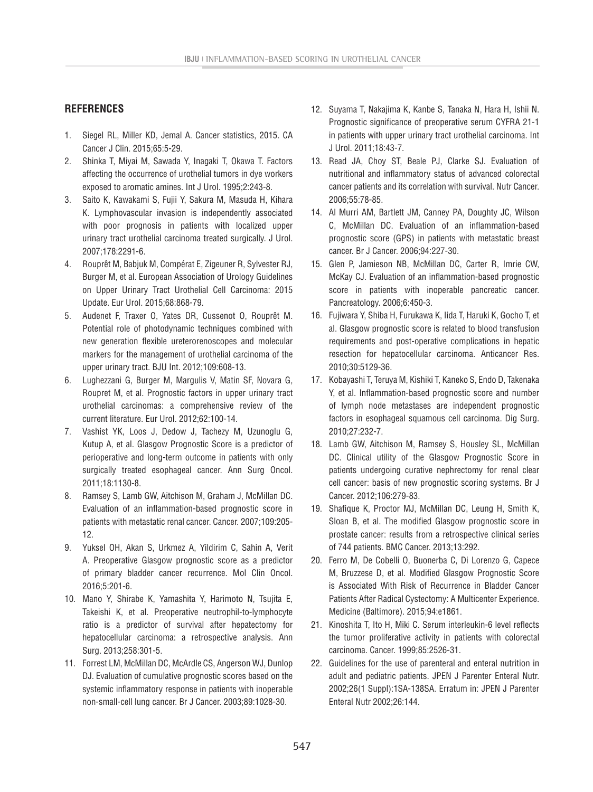# **REFERENCES**

- 1. Siegel RL, Miller KD, Jemal A. Cancer statistics, 2015. CA Cancer J Clin. 2015;65:5-29.
- 2. Shinka T, Miyai M, Sawada Y, Inagaki T, Okawa T. Factors affecting the occurrence of urothelial tumors in dye workers exposed to aromatic amines. Int J Urol. 1995;2:243-8.
- 3. Saito K, Kawakami S, Fujii Y, Sakura M, Masuda H, Kihara K. Lymphovascular invasion is independently associated with poor prognosis in patients with localized upper urinary tract urothelial carcinoma treated surgically. J Urol. 2007;178:2291-6.
- 4. Rouprêt M, Babjuk M, Compérat E, Zigeuner R, Sylvester RJ, Burger M, et al. European Association of Urology Guidelines on Upper Urinary Tract Urothelial Cell Carcinoma: 2015 Update. Eur Urol. 2015;68:868-79.
- 5. Audenet F, Traxer O, Yates DR, Cussenot O, Rouprêt M. Potential role of photodynamic techniques combined with new generation flexible ureterorenoscopes and molecular markers for the management of urothelial carcinoma of the upper urinary tract. BJU Int. 2012;109:608-13.
- 6. Lughezzani G, Burger M, Margulis V, Matin SF, Novara G, Roupret M, et al. Prognostic factors in upper urinary tract urothelial carcinomas: a comprehensive review of the current literature. Eur Urol. 2012;62:100-14.
- 7. Vashist YK, Loos J, Dedow J, Tachezy M, Uzunoglu G, Kutup A, et al. Glasgow Prognostic Score is a predictor of perioperative and long-term outcome in patients with only surgically treated esophageal cancer. Ann Surg Oncol. 2011;18:1130-8.
- 8. Ramsey S, Lamb GW, Aitchison M, Graham J, McMillan DC. Evaluation of an inflammation-based prognostic score in patients with metastatic renal cancer. Cancer. 2007;109:205- 12.
- 9. Yuksel OH, Akan S, Urkmez A, Yildirim C, Sahin A, Verit A. Preoperative Glasgow prognostic score as a predictor of primary bladder cancer recurrence. Mol Clin Oncol. 2016;5:201-6.
- 10. Mano Y, Shirabe K, Yamashita Y, Harimoto N, Tsujita E, Takeishi K, et al. Preoperative neutrophil-to-lymphocyte ratio is a predictor of survival after hepatectomy for hepatocellular carcinoma: a retrospective analysis. Ann Surg. 2013;258:301-5.
- 11. Forrest LM, McMillan DC, McArdle CS, Angerson WJ, Dunlop DJ. Evaluation of cumulative prognostic scores based on the systemic inflammatory response in patients with inoperable non-small-cell lung cancer. Br J Cancer. 2003;89:1028-30.
- 12. Suyama T, Nakajima K, Kanbe S, Tanaka N, Hara H, Ishii N. Prognostic significance of preoperative serum CYFRA 21-1 in patients with upper urinary tract urothelial carcinoma. Int J Urol. 2011;18:43-7.
- 13. Read JA, Choy ST, Beale PJ, Clarke SJ. Evaluation of nutritional and inflammatory status of advanced colorectal cancer patients and its correlation with survival. Nutr Cancer. 2006;55:78-85.
- 14. Al Murri AM, Bartlett JM, Canney PA, Doughty JC, Wilson C, McMillan DC. Evaluation of an inflammation-based prognostic score (GPS) in patients with metastatic breast cancer. Br J Cancer. 2006;94:227-30.
- 15. Glen P, Jamieson NB, McMillan DC, Carter R, Imrie CW, McKay CJ. Evaluation of an inflammation-based prognostic score in patients with inoperable pancreatic cancer. Pancreatology. 2006;6:450-3.
- 16. Fujiwara Y, Shiba H, Furukawa K, Iida T, Haruki K, Gocho T, et al. Glasgow prognostic score is related to blood transfusion requirements and post-operative complications in hepatic resection for hepatocellular carcinoma. Anticancer Res. 2010;30:5129-36.
- 17. Kobayashi T, Teruya M, Kishiki T, Kaneko S, Endo D, Takenaka Y, et al. Inflammation-based prognostic score and number of lymph node metastases are independent prognostic factors in esophageal squamous cell carcinoma. Dig Surg. 2010;27:232-7.
- 18. Lamb GW, Aitchison M, Ramsey S, Housley SL, McMillan DC. Clinical utility of the Glasgow Prognostic Score in patients undergoing curative nephrectomy for renal clear cell cancer: basis of new prognostic scoring systems. Br J Cancer. 2012;106:279-83.
- 19. Shafique K, Proctor MJ, McMillan DC, Leung H, Smith K, Sloan B, et al. The modified Glasgow prognostic score in prostate cancer: results from a retrospective clinical series of 744 patients. BMC Cancer. 2013;13:292.
- 20. Ferro M, De Cobelli O, Buonerba C, Di Lorenzo G, Capece M, Bruzzese D, et al. Modified Glasgow Prognostic Score is Associated With Risk of Recurrence in Bladder Cancer Patients After Radical Cystectomy: A Multicenter Experience. Medicine (Baltimore). 2015;94:e1861.
- 21. Kinoshita T, Ito H, Miki C. Serum interleukin-6 level reflects the tumor proliferative activity in patients with colorectal carcinoma. Cancer. 1999;85:2526-31.
- 22. Guidelines for the use of parenteral and enteral nutrition in adult and pediatric patients. JPEN J Parenter Enteral Nutr. 2002;26(1 Suppl):1SA-138SA. Erratum in: JPEN J Parenter Enteral Nutr 2002;26:144.